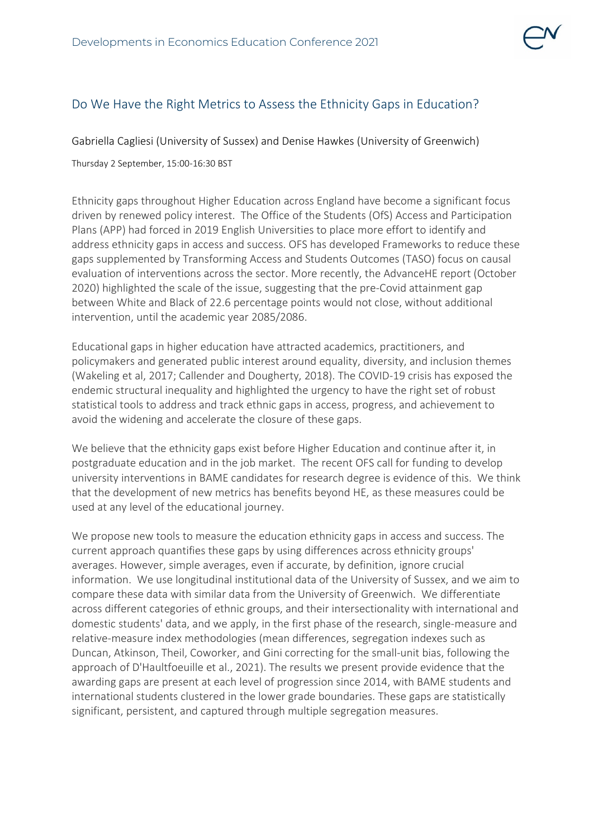

## Do We Have the Right Metrics to Assess the Ethnicity Gaps in Education?

Gabriella Cagliesi (University of Sussex) and Denise Hawkes (University of Greenwich)

Thursday 2 September, 15:00-16:30 BST

Ethnicity gaps throughout Higher Education across England have become a significant focus driven by renewed policy interest. The Office of the Students (OfS) Access and Participation Plans (APP) had forced in 2019 English Universities to place more effort to identify and address ethnicity gaps in access and success. OFS has developed Frameworks to reduce these gaps supplemented by Transforming Access and Students Outcomes (TASO) focus on causal evaluation of interventions across the sector. More recently, the AdvanceHE report (October 2020) highlighted the scale of the issue, suggesting that the pre-Covid attainment gap between White and Black of 22.6 percentage points would not close, without additional intervention, until the academic year 2085/2086.

Educational gaps in higher education have attracted academics, practitioners, and policymakers and generated public interest around equality, diversity, and inclusion themes (Wakeling et al, 2017; Callender and Dougherty, 2018). The COVID-19 crisis has exposed the endemic structural inequality and highlighted the urgency to have the right set of robust statistical tools to address and track ethnic gaps in access, progress, and achievement to avoid the widening and accelerate the closure of these gaps.

We believe that the ethnicity gaps exist before Higher Education and continue after it, in postgraduate education and in the job market. The recent OFS call for funding to develop university interventions in BAME candidates for research degree is evidence of this. We think that the development of new metrics has benefits beyond HE, as these measures could be used at any level of the educational journey.

We propose new tools to measure the education ethnicity gaps in access and success. The current approach quantifies these gaps by using differences across ethnicity groups' averages. However, simple averages, even if accurate, by definition, ignore crucial information. We use longitudinal institutional data of the University of Sussex, and we aim to compare these data with similar data from the University of Greenwich. We differentiate across different categories of ethnic groups, and their intersectionality with international and domestic students' data, and we apply, in the first phase of the research, single-measure and relative-measure index methodologies (mean differences, segregation indexes such as Duncan, Atkinson, Theil, Coworker, and Gini correcting for the small-unit bias, following the approach of D'Haultfoeuille et al., 2021). The results we present provide evidence that the awarding gaps are present at each level of progression since 2014, with BAME students and international students clustered in the lower grade boundaries. These gaps are statistically significant, persistent, and captured through multiple segregation measures.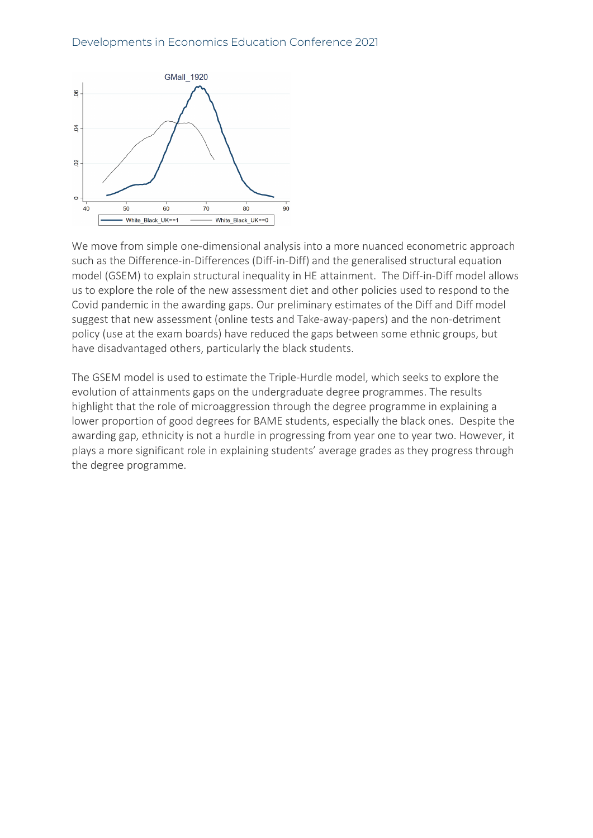

We move from simple one-dimensional analysis into a more nuanced econometric approach such as the Difference-in-Differences (Diff-in-Diff) and the generalised structural equation model (GSEM) to explain structural inequality in HE attainment. The Diff-in-Diff model allows us to explore the role of the new assessment diet and other policies used to respond to the Covid pandemic in the awarding gaps. Our preliminary estimates of the Diff and Diff model suggest that new assessment (online tests and Take-away-papers) and the non-detriment policy (use at the exam boards) have reduced the gaps between some ethnic groups, but have disadvantaged others, particularly the black students.

The GSEM model is used to estimate the Triple-Hurdle model, which seeks to explore the evolution of attainments gaps on the undergraduate degree programmes. The results highlight that the role of microaggression through the degree programme in explaining a lower proportion of good degrees for BAME students, especially the black ones. Despite the awarding gap, ethnicity is not a hurdle in progressing from year one to year two. However, it plays a more significant role in explaining students' average grades as they progress through the degree programme.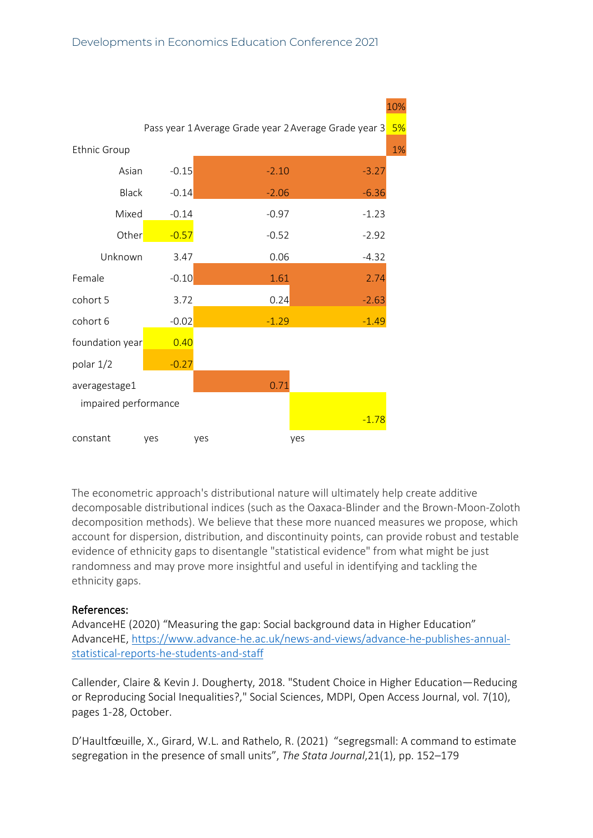

The econometric approach's distributional nature will ultimately help create additive decomposable distributional indices (such as the Oaxaca-Blinder and the Brown-Moon-Zoloth decomposition methods). We believe that these more nuanced measures we propose, which account for dispersion, distribution, and discontinuity points, can provide robust and testable evidence of ethnicity gaps to disentangle "statistical evidence" from what might be just randomness and may prove more insightful and useful in identifying and tackling the ethnicity gaps.

## References:

AdvanceHE (2020) "Measuring the gap: Social background data in Higher Education" AdvanceHE, [https://www.advance-he.ac.uk/news-and-views/advance-he-publishes-annual](https://www.advance-he.ac.uk/news-and-views/advance-he-publishes-annual-statistical-reports-he-students-and-staff)[statistical-reports-he-students-and-staff](https://www.advance-he.ac.uk/news-and-views/advance-he-publishes-annual-statistical-reports-he-students-and-staff)

Callender, Claire & Kevin J. Dougherty, 2018. "Student Choice in Higher Education—Reducing or Reproducing Social Inequalities?," Social Sciences, MDPI, Open Access Journal, vol. 7(10), pages 1-28, October.

D'Haultfœuille, X., Girard, W.L. and Rathelo, R. (2021) "segregsmall: A command to estimate segregation in the presence of small units", *The Stata Journal*,21(1), pp. 152–179